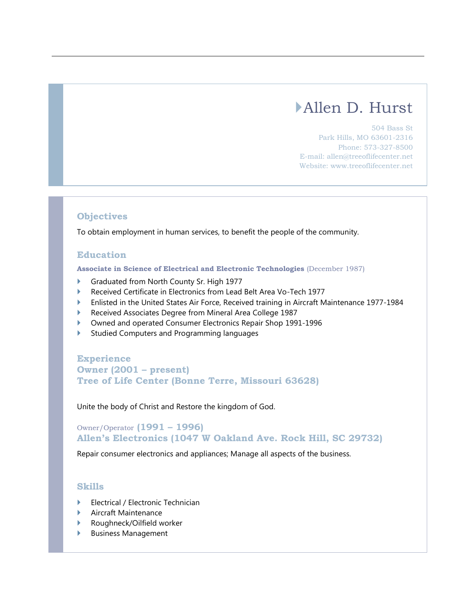# Allen D. Hurst

504 Bass St Park Hills, MO 63601-2316 Phone: 573-327-8500 E-mail: allen@treeoflifecenter.net Website: www.treeoflifecenter.net

## **Objectives**

To obtain employment in human services, to benefit the people of the community.

### **Education**

**Associate in Science of Electrical and Electronic Technologies** (December 1987)

- Graduated from North County Sr. High 1977
- Received Certificate in Electronics from Lead Belt Area Vo-Tech 1977
- Enlisted in the United States Air Force, Received training in Aircraft Maintenance 1977-1984
- Received Associates Degree from Mineral Area College 1987
- Owned and operated Consumer Electronics Repair Shop 1991-1996
- Studied Computers and Programming languages

**Experience Owner (2001 – present) Tree of Life Center (Bonne Terre, Missouri 63628)**

Unite the body of Christ and Restore the kingdom of God.

Owner/Operator **(1991 – 1996) Allen's Electronics (1047 W Oakland Ave. Rock Hill, SC 29732)**

Repair consumer electronics and appliances; Manage all aspects of the business.

#### **Skills**

- Electrical / Electronic Technician
- Aircraft Maintenance
- Roughneck/Oilfield worker
- Business Management